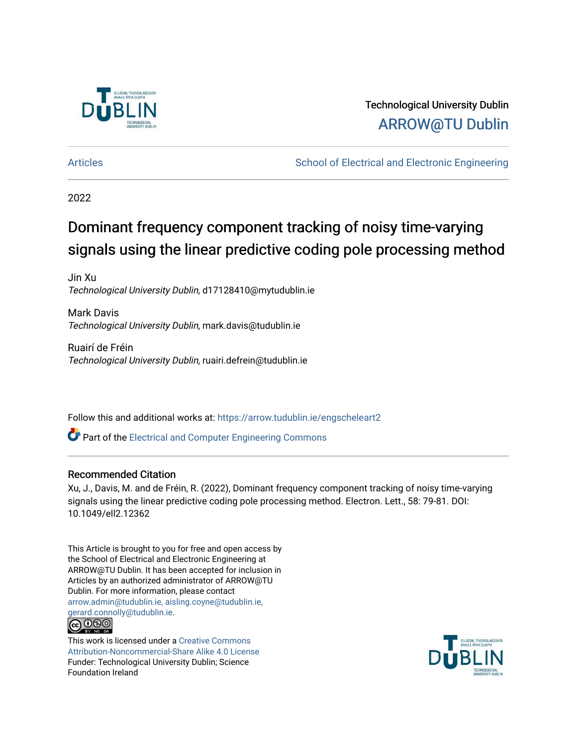

Technological University Dublin [ARROW@TU Dublin](https://arrow.tudublin.ie/) 

[Articles](https://arrow.tudublin.ie/engscheleart2) **School of Electrical and Electronic Engineering** School of Electronic Engineering

2022

## Dominant frequency component tracking of noisy time-varying signals using the linear predictive coding pole processing method

Jin Xu Technological University Dublin, d17128410@mytudublin.ie

Mark Davis Technological University Dublin, mark.davis@tudublin.ie

Ruairí de Fréin Technological University Dublin, ruairi.defrein@tudublin.ie

Follow this and additional works at: [https://arrow.tudublin.ie/engscheleart2](https://arrow.tudublin.ie/engscheleart2?utm_source=arrow.tudublin.ie%2Fengscheleart2%2F311&utm_medium=PDF&utm_campaign=PDFCoverPages)

**P** Part of the Electrical and Computer Engineering Commons

## Recommended Citation

Xu, J., Davis, M. and de Fréin, R. (2022), Dominant frequency component tracking of noisy time-varying signals using the linear predictive coding pole processing method. Electron. Lett., 58: 79-81. DOI: 10.1049/ell2.12362

This Article is brought to you for free and open access by the School of Electrical and Electronic Engineering at ARROW@TU Dublin. It has been accepted for inclusion in Articles by an authorized administrator of ARROW@TU Dublin. For more information, please contact [arrow.admin@tudublin.ie, aisling.coyne@tudublin.ie,](mailto:arrow.admin@tudublin.ie,%20aisling.coyne@tudublin.ie,%20gerard.connolly@tudublin.ie)  [gerard.connolly@tudublin.ie](mailto:arrow.admin@tudublin.ie,%20aisling.coyne@tudublin.ie,%20gerard.connolly@tudublin.ie).



This work is licensed under a [Creative Commons](http://creativecommons.org/licenses/by-nc-sa/4.0/) [Attribution-Noncommercial-Share Alike 4.0 License](http://creativecommons.org/licenses/by-nc-sa/4.0/) Funder: Technological University Dublin; Science Foundation Ireland

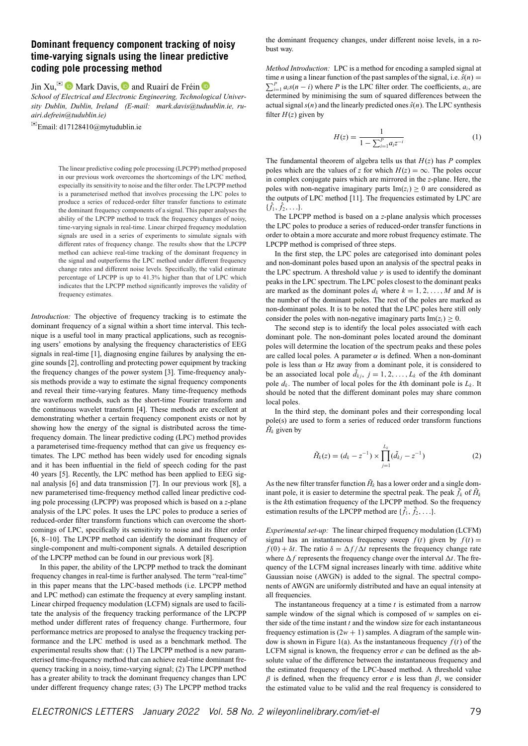## **Dominant frequency component tracking of noisy time-varying signals using the linear predictive coding pole processing method**

Jin Xu, $^{\boxtimes}$   $\bullet$  Mark Davis,  $\bullet$  and Ruairí de Fréin  $\bullet$ 

*School of Electrical and Electronic Engineering, Technological University Dublin, Dublin, Ireland (E-mail: mark.davis@tuduublin.ie, ruairi.defrein@tudublin.ie)*

Email:  $d17128410$ @mytudublin.ie

The linear predictive coding pole processing (LPCPP) method proposed in our previous work overcomes the shortcomings of the LPC method, especially its sensitivity to noise and the filter order. The LPCPP method is a parameterised method that involves processing the LPC poles to produce a series of reduced-order filter transfer functions to estimate the dominant frequency components of a signal. This paper analyses the ability of the LPCPP method to track the frequency changes of noisy, time-varying signals in real-time. Linear chirped frequency modulation signals are used in a series of experiments to simulate signals with different rates of frequency change. The results show that the LPCPP method can achieve real-time tracking of the dominant frequency in the signal and outperforms the LPC method under different frequency change rates and different noise levels. Specifically, the valid estimate percentage of LPCPP is up to 41.3% higher than that of LPC which indicates that the LPCPP method significantly improves the validity of frequency estimates.

*Introduction:* The objective of frequency tracking is to estimate the dominant frequency of a signal within a short time interval. This technique is a useful tool in many practical applications, such as recognising users' emotions by analysing the frequency characteristics of EEG signals in real-time [1], diagnosing engine failures by analysing the engine sounds [2], controlling and protecting power equipment by tracking the frequency changes of the power system [3]. Time-frequency analysis methods provide a way to estimate the signal frequency components and reveal their time-varying features. Many time-frequency methods are waveform methods, such as the short-time Fourier transform and the continuous wavelet transform [4]. These methods are excellent at demonstrating whether a certain frequency component exists or not by showing how the energy of the signal is distributed across the timefrequency domain. The linear predictive coding (LPC) method provides a parameterised time-frequency method that can give us frequency estimates. The LPC method has been widely used for encoding signals and it has been influential in the field of speech coding for the past 40 years [5]. Recently, the LPC method has been applied to EEG signal analysis [6] and data transmission [7]. In our previous work [8], a new parameterised time-frequency method called linear predictive coding pole processing (LPCPP) was proposed which is based on a *z*-plane analysis of the LPC poles. It uses the LPC poles to produce a series of reduced-order filter transform functions which can overcome the shortcomings of LPC, specifically its sensitivity to noise and its filter order [6, 8–10]. The LPCPP method can identify the dominant frequency of single-component and multi-component signals. A detailed description of the LPCPP method can be found in our previous work [8].

In this paper, the ability of the LPCPP method to track the dominant frequency changes in real-time is further analysed. The term "real-time" in this paper means that the LPC-based methods (i.e. LPCPP method and LPC method) can estimate the frequency at every sampling instant. Linear chirped frequency modulation (LCFM) signals are used to facilitate the analysis of the frequency tracking performance of the LPCPP method under different rates of frequency change. Furthermore, four performance metrics are proposed to analyse the frequency tracking performance and the LPC method is used as a benchmark method. The experimental results show that: (1) The LPCPP method is a new parameterised time-frequency method that can achieve real-time dominant frequency tracking in a noisy, time-varying signal; (2) The LPCPP method has a greater ability to track the dominant frequency changes than LPC under different frequency change rates; (3) The LPCPP method tracks the dominant frequency changes, under different noise levels, in a robust way.

*Method Introduction:* LPC is a method for encoding a sampled signal at time *n* using a linear function of the past samples of the signal, i.e.  $\hat{s}(n) = \sum_{i=1}^{P} a_i s(n-i)$  where *P* is the LPC filter order. The coefficients *a* are  $\sum_{i=1}^{P} a_i s(n-i)$  where *P* is the LPC filter order. The coefficients,  $a_i$ , are determined by minimising the sum of squared differences between the actual signal  $s(n)$  and the linearly predicted ones  $\hat{s}(n)$ . The LPC synthesis filter  $H(z)$  given by

$$
H(z) = \frac{1}{1 - \sum_{i=1}^{P} a_i z^{-i}}\tag{1}
$$

The fundamental theorem of algebra tells us that  $H(z)$  has  $P$  complex poles which are the values of *z* for which  $H(z) = \infty$ . The poles occur in complex conjugate pairs which are mirrored in the *z*-plane. Here, the poles with non-negative imaginary parts  $\text{Im}(z_i) \geq 0$  are considered as the outputs of LPC method [11]. The frequencies estimated by LPC are  $\{\hat{f}_1, \hat{f}_2, \ldots\}.$ 

The LPCPP method is based on a *z*-plane analysis which processes the LPC poles to produce a series of reduced-order transfer functions in order to obtain a more accurate and more robust frequency estimate. The LPCPP method is comprised of three steps.

In the first step, the LPC poles are categorised into dominant poles and non-dominant poles based upon an analysis of the spectral peaks in the LPC spectrum. A threshold value  $\gamma$  is used to identify the dominant peaks in the LPC spectrum. The LPC poles closest to the dominant peaks are marked as the dominant poles  $d_k$  where  $k = 1, 2, ..., M$  and M is the number of the dominant poles. The rest of the poles are marked as non-dominant poles. It is to be noted that the LPC poles here still only consider the poles with non-negative imaginary parts  $Im(z_i) > 0$ .

The second step is to identify the local poles associated with each dominant pole. The non-dominant poles located around the dominant poles will determine the location of the spectrum peaks and these poles are called local poles. A parameter  $\alpha$  is defined. When a non-dominant pole is less than  $\alpha$  Hz away from a dominant pole, it is considered to be an associated local pole  $\tilde{d}_{kj}$ ,  $j = 1, 2, ..., L_k$  of the *k*th dominant pole  $d_k$ . The number of local poles for the *k*th dominant pole is  $L_k$ . It should be noted that the different dominant poles may share common local poles.

In the third step, the dominant poles and their corresponding local pole(s) are used to form a series of reduced order transform functions  $\tilde{H}_k$  given by

$$
\tilde{H}_k(z) = (d_k - z^{-1}) \times \prod_{j=1}^{L_k} (\tilde{d}_{kj} - z^{-1})
$$
\n(2)

As the new filter transfer function  $\tilde{H}_k$  has a lower order and a single dominant pole, it is easier to determine the spectral peak. The peak  $\tilde{f}_k$  of  $\tilde{H}_k$ is the *k*th estimation frequency of the LPCPP method. So the frequency estimation results of the LPCPP method are  $\{\tilde{f}_1, \tilde{f}_2, \ldots\}$ .

*Experimental set-up:* The linear chirped frequency modulation (LCFM) signal has an instantaneous frequency sweep  $f(t)$  given by  $f(t) =$  $f(0) + \delta t$ . The ratio  $\delta = \Delta f / \Delta t$  represents the frequency change rate where  $\Delta f$  represents the frequency change over the interval  $\Delta t$ . The frequency of the LCFM signal increases linearly with time. additive white Gaussian noise (AWGN) is added to the signal. The spectral components of AWGN are uniformly distributed and have an equal intensity at all frequencies.

The instantaneous frequency at a time *t* is estimated from a narrow sample window of the signal which is composed of *w* samples on either side of the time instant  $t$  and the window size for each instantaneous frequency estimation is  $(2w + 1)$  samples. A diagram of the sample window is shown in Figure 1(a). As the instantaneous frequency  $f(t)$  of the LCFM signal is known, the frequency error *e* can be defined as the absolute value of the difference between the instantaneous frequency and the estimated frequency of the LPC-based method. A threshold value  $β$  is defined, when the frequency error *e* is less than  $β$ , we consider the estimated value to be valid and the real frequency is considered to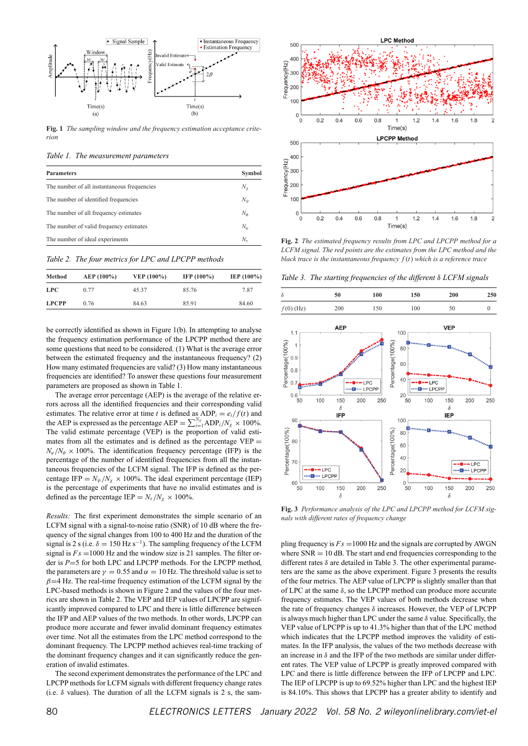

**Fig. 1** *The sampling window and the frequency estimation acceptance criterion*

*Table 1. The measurement parameters*

| <b>Parameters</b>                           | Symbol       |
|---------------------------------------------|--------------|
| The number of all instantaneous frequencies | $N_{\rm y}$  |
| The number of identified frequencies        | $N_{\psi}$   |
| The number of all frequency estimates       | $N_{\phi}$   |
| The number of valid frequency estimates     | $N_{\omega}$ |
| The number of ideal experiments             | $N_{\tau}$   |

*Table 2. The four metrics for LPC and LPCPP methods*

| Method       | $AEP(100\%)$ | VEP (100%) | IFP $(100\%)$ | IEP $(100\%)$ |
|--------------|--------------|------------|---------------|---------------|
| <b>LPC</b>   | 0.77         | 45.37      | 85.76         | 7.87          |
| <b>LPCPP</b> | 0.76         | 84.63      | 85.91         | 84.60         |

be correctly identified as shown in Figure 1(b). In attempting to analyse the frequency estimation performance of the LPCPP method there are some questions that need to be considered. (1) What is the average error between the estimated frequency and the instantaneous frequency? (2) How many estimated frequencies are valid? (3) How many instantaneous frequencies are identified? To answer these questions four measurement parameters are proposed as shown in Table 1.

The average error percentage (AEP) is the average of the relative errors across all the identified frequencies and their corresponding valid estimates. The relative error at time *t* is defined as  $ADP_i = e_i/f(t)$  and the AEP is expressed as the percentage AEP =  $\sum_{i=1}^{N_{\psi}} \text{ADP}_{i}/N_{\chi} \times 100\%$ . The valid estimate percentage (VEP) is the proportion of valid estimates from all the estimates and is defined as the percentage  $VEP =$  $N_{\varphi}/N_{\varphi} \times 100\%$ . The identification frequency percentage (IFP) is the percentage of the number of identified frequencies from all the instantaneous frequencies of the LCFM signal. The IFP is defined as the percentage IFP =  $N_{\psi}$  / $N_{\chi}$  × 100%. The ideal experiment percentage (IEP) is the percentage of experiments that have no invalid estimates and is defined as the percentage IEP =  $N_\tau/N_\chi \times 100\%$ .

*Results:* The first experiment demonstrates the simple scenario of an LCFM signal with a signal-to-noise ratio (SNR) of 10 dB where the frequency of the signal changes from 100 to 400 Hz and the duration of the signal is 2 s (i.e.  $\delta = 150$  Hz s<sup>-1</sup>). The sampling frequency of the LCFM signal is  $Fs = 1000$  Hz and the window size is 21 samples. The filter order is *P*=5 for both LPC and LPCPP methods. For the LPCPP method, the parameters are  $\gamma = 0.55$  and  $\alpha = 10$  Hz. The threshold value is set to  $\beta$ =4 Hz. The real-time frequency estimation of the LCFM signal by the LPC-based methods is shown in Figure 2 and the values of the four metrics are shown in Table 2. The VEP and IEP values of LPCPP are significantly improved compared to LPC and there is little difference between the IFP and AEP values of the two methods. In other words, LPCPP can produce more accurate and fewer invalid dominant frequency estimates over time. Not all the estimates from the LPC method correspond to the dominant frequency. The LPCPP method achieves real-time tracking of the dominant frequency changes and it can significantly reduce the generation of invalid estimates.

The second experiment demonstrates the performance of the LPC and LPCPP methods for LCFM signals with different frequency change rates (i.e.  $\delta$  values). The duration of all the LCFM signals is 2 s, the sam-



**Fig. 2** *The estimated frequency results from LPC and LPCPP method for a LCFM signal. The red points are the estimates from the LPC method and the black trace is the instantaneous frequency f* (*t*) *which is a reference trace*

*Table 3. The starting frequencies of the different* δ *LCFM signals*



**Fig. 3** *Performance analysis of the LPC and LPCPP method for LCFM signals with different rates of frequency change*

pling frequency is  $Fs = 1000$  Hz and the signals are corrupted by AWGN where  $SNR = 10$  dB. The start and end frequencies corresponding to the different rates  $\delta$  are detailed in Table 3. The other experimental parameters are the same as the above experiment. Figure 3 presents the results of the four metrics. The AEP value of LPCPP is slightly smaller than that of LPC at the same  $\delta$ , so the LPCPP method can produce more accurate frequency estimates. The VEP values of both methods decrease when the rate of frequency changes  $\delta$  increases. However, the VEP of LPCPP is always much higher than LPC under the same  $\delta$  value. Specifically, the VEP value of LPCPP is up to 41.3% higher than that of the LPC method which indicates that the LPCPP method improves the validity of estimates. In the IFP analysis, the values of the two methods decrease with an increase in  $\delta$  and the IFP of the two methods are similar under different rates. The VEP value of LPCPP is greatly improved compared with LPC and there is little difference between the IFP of LPCPP and LPC. The IEP of LPCPP is up to 69.52% higher than LPC and the highest IEP is 84.10%. This shows that LPCPP has a greater ability to identify and